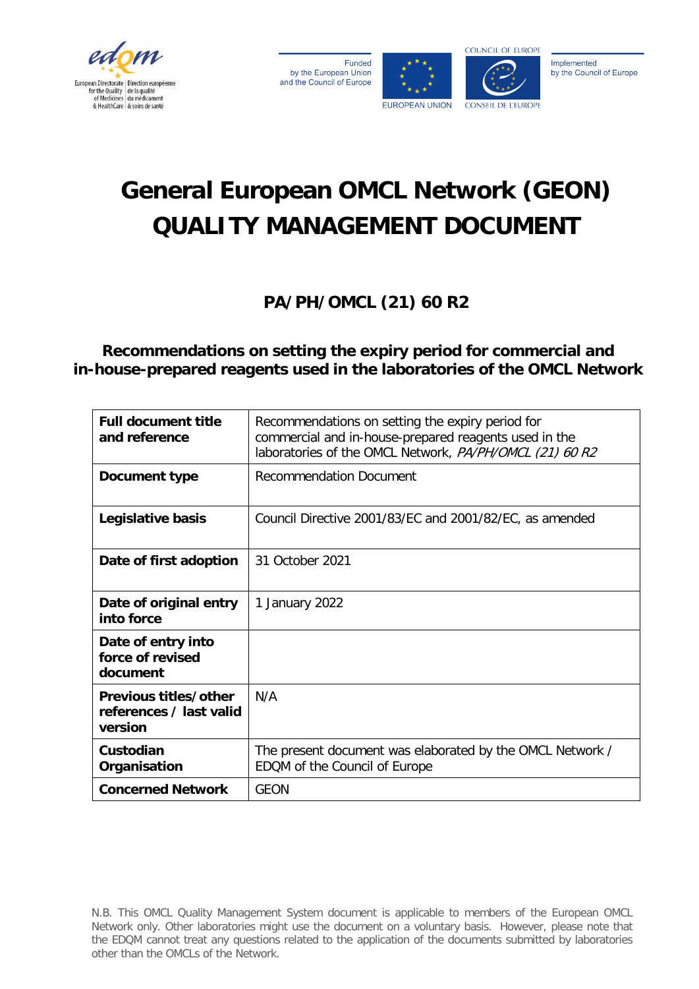

Funded by the European Union and the Council of Europe





Implemented by the Council of Europe

# **General European OMCL Network (GEON) QUALITY MANAGEMENT DOCUMENT**

**PA/PH/OMCL (21) 60 R2**

**Recommendations on setting the expiry period for commercial and in-house-prepared reagents used in the laboratories of the OMCL Network**

| <b>Full document title</b><br>and reference                 | Recommendations on setting the expiry period for<br>commercial and in-house-prepared reagents used in the<br>laboratories of the OMCL Network, PA/PH/OMCL (21) 60 R2 |
|-------------------------------------------------------------|----------------------------------------------------------------------------------------------------------------------------------------------------------------------|
| Document type                                               | <b>Recommendation Document</b>                                                                                                                                       |
| Legislative basis                                           | Council Directive 2001/83/EC and 2001/82/EC, as amended                                                                                                              |
| Date of first adoption                                      | 31 October 2021                                                                                                                                                      |
| Date of original entry<br>into force                        | 1 January 2022                                                                                                                                                       |
| Date of entry into<br>force of revised<br>document          |                                                                                                                                                                      |
| Previous titles/other<br>references / last valid<br>version | N/A                                                                                                                                                                  |
| Custodian<br>Organisation                                   | The present document was elaborated by the OMCL Network /<br>EDQM of the Council of Europe                                                                           |
| <b>Concerned Network</b>                                    | <b>GEON</b>                                                                                                                                                          |

N.B. This OMCL Quality Management System document is applicable to members of the European OMCL Network only. Other laboratories might use the document on a voluntary basis. However, please note that the EDQM cannot treat any questions related to the application of the documents submitted by laboratories other than the OMCLs of the Network.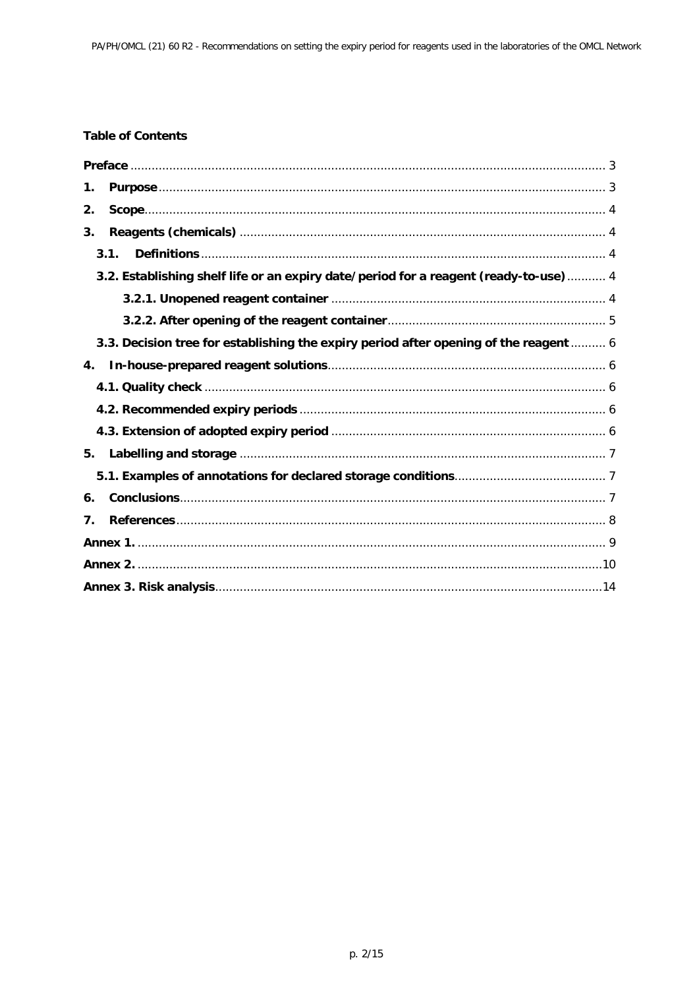# **Table of Contents**

| 1.                                                                                    |  |
|---------------------------------------------------------------------------------------|--|
| 2.                                                                                    |  |
| 3.                                                                                    |  |
| 3.1.                                                                                  |  |
| 3.2. Establishing shelf life or an expiry date/period for a reagent (ready-to-use)  4 |  |
|                                                                                       |  |
|                                                                                       |  |
| 3.3. Decision tree for establishing the expiry period after opening of the reagent  6 |  |
| 4.                                                                                    |  |
|                                                                                       |  |
|                                                                                       |  |
|                                                                                       |  |
| 5.                                                                                    |  |
|                                                                                       |  |
| 6.                                                                                    |  |
| 7.                                                                                    |  |
|                                                                                       |  |
|                                                                                       |  |
|                                                                                       |  |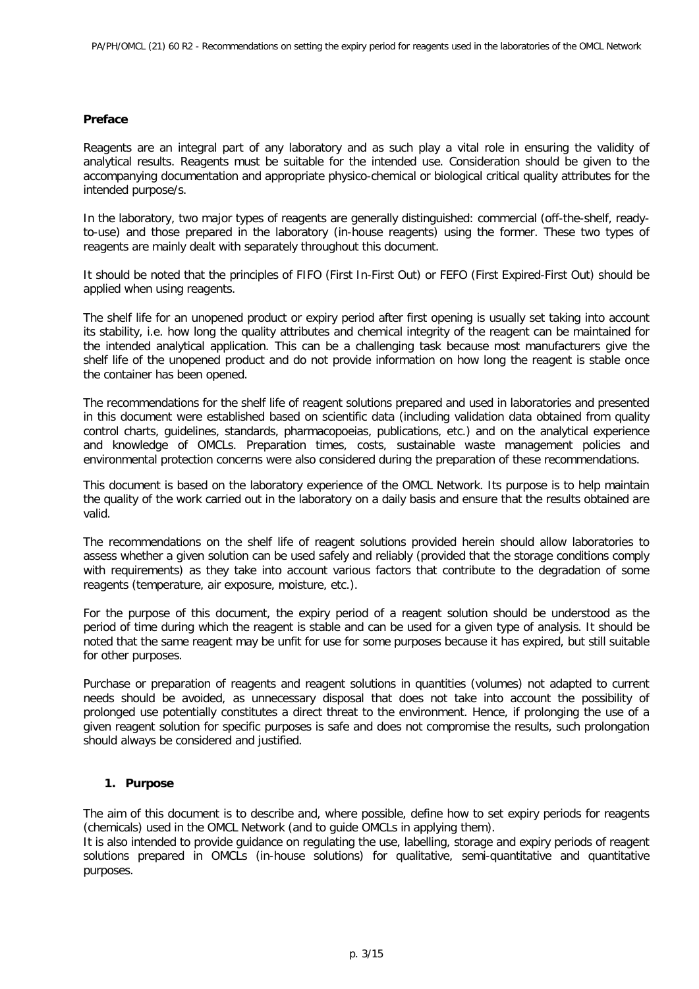## <span id="page-2-0"></span>**Preface**

Reagents are an integral part of any laboratory and as such play a vital role in ensuring the validity of analytical results. Reagents must be suitable for the intended use. Consideration should be given to the accompanying documentation and appropriate physico-chemical or biological critical quality attributes for the intended purpose/s.

In the laboratory, two major types of reagents are generally distinguished: commercial (off-the-shelf, readyto-use) and those prepared in the laboratory (in-house reagents) using the former. These two types of reagents are mainly dealt with separately throughout this document.

It should be noted that the principles of FIFO (First In-First Out) or FEFO (First Expired-First Out) should be applied when using reagents.

The shelf life for an unopened product or expiry period after first opening is usually set taking into account its stability, i.e. how long the quality attributes and chemical integrity of the reagent can be maintained for the intended analytical application. This can be a challenging task because most manufacturers give the shelf life of the unopened product and do not provide information on how long the reagent is stable once the container has been opened.

The recommendations for the shelf life of reagent solutions prepared and used in laboratories and presented in this document were established based on scientific data (including validation data obtained from quality control charts, guidelines, standards, pharmacopoeias, publications, etc.) and on the analytical experience and knowledge of OMCLs. Preparation times, costs, sustainable waste management policies and environmental protection concerns were also considered during the preparation of these recommendations.

This document is based on the laboratory experience of the OMCL Network. Its purpose is to help maintain the quality of the work carried out in the laboratory on a daily basis and ensure that the results obtained are valid.

The recommendations on the shelf life of reagent solutions provided herein should allow laboratories to assess whether a given solution can be used safely and reliably (provided that the storage conditions comply with requirements) as they take into account various factors that contribute to the degradation of some reagents (temperature, air exposure, moisture, etc.).

For the purpose of this document, the expiry period of a reagent solution should be understood as the period of time during which the reagent is stable and can be used for a given type of analysis. It should be noted that the same reagent may be unfit for use for some purposes because it has expired, but still suitable for other purposes.

Purchase or preparation of reagents and reagent solutions in quantities (volumes) not adapted to current needs should be avoided, as unnecessary disposal that does not take into account the possibility of prolonged use potentially constitutes a direct threat to the environment. Hence, if prolonging the use of a given reagent solution for specific purposes is safe and does not compromise the results, such prolongation should always be considered and justified.

## <span id="page-2-1"></span>**1. Purpose**

The aim of this document is to describe and, where possible, define how to set expiry periods for reagents (chemicals) used in the OMCL Network (and to guide OMCLs in applying them).

It is also intended to provide guidance on regulating the use, labelling, storage and expiry periods of reagent solutions prepared in OMCLs (in-house solutions) for qualitative, semi-quantitative and quantitative purposes.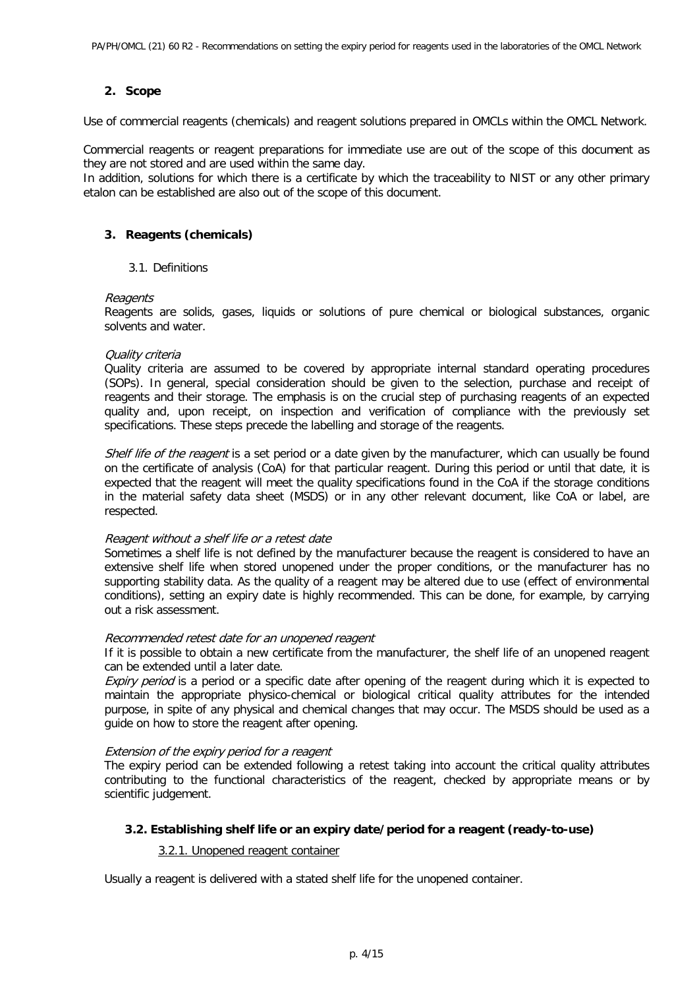## <span id="page-3-0"></span>**2. Scope**

Use of commercial reagents (chemicals) and reagent solutions prepared in OMCLs within the OMCL Network.

Commercial reagents or reagent preparations for immediate use are out of the scope of this document as they are not stored and are used within the same day.

In addition, solutions for which there is a certificate by which the traceability to NIST or any other primary etalon can be established are also out of the scope of this document.

## <span id="page-3-2"></span><span id="page-3-1"></span>**3. Reagents (chemicals)**

#### 3.1. Definitions

#### Reagents

Reagents are solids, gases, liquids or solutions of pure chemical or biological substances, organic solvents and water.

#### Quality criteria

Quality criteria are assumed to be covered by appropriate internal standard operating procedures (SOPs). In general, special consideration should be given to the selection, purchase and receipt of reagents and their storage. The emphasis is on the crucial step of purchasing reagents of an expected quality and, upon receipt, on inspection and verification of compliance with the previously set specifications. These steps precede the labelling and storage of the reagents.

Shelf life of the reagent is a set period or a date given by the manufacturer, which can usually be found on the certificate of analysis (CoA) for that particular reagent. During this period or until that date, it is expected that the reagent will meet the quality specifications found in the CoA if the storage conditions in the material safety data sheet (MSDS) or in any other relevant document, like CoA or label, are respected.

#### Reagent without a shelf life or a retest date

Sometimes a shelf life is not defined by the manufacturer because the reagent is considered to have an extensive shelf life when stored unopened under the proper conditions, or the manufacturer has no supporting stability data. As the quality of a reagent may be altered due to use (effect of environmental conditions), setting an expiry date is highly recommended. This can be done, for example, by carrying out a risk assessment.

#### Recommended retest date for an unopened reagent

If it is possible to obtain a new certificate from the manufacturer, the shelf life of an unopened reagent can be extended until a later date.

Expiry period is a period or a specific date after opening of the reagent during which it is expected to maintain the appropriate physico-chemical or biological critical quality attributes for the intended purpose, in spite of any physical and chemical changes that may occur. The MSDS should be used as a guide on how to store the reagent after opening.

#### Extension of the expiry period for a reagent

The expiry period can be extended following a retest taking into account the critical quality attributes contributing to the functional characteristics of the reagent, checked by appropriate means or by scientific judgement.

#### <span id="page-3-4"></span><span id="page-3-3"></span>**3.2. Establishing shelf life or an expiry date/period for a reagent (ready-to-use)**

#### 3.2.1. Unopened reagent container

Usually a reagent is delivered with a stated shelf life for the unopened container.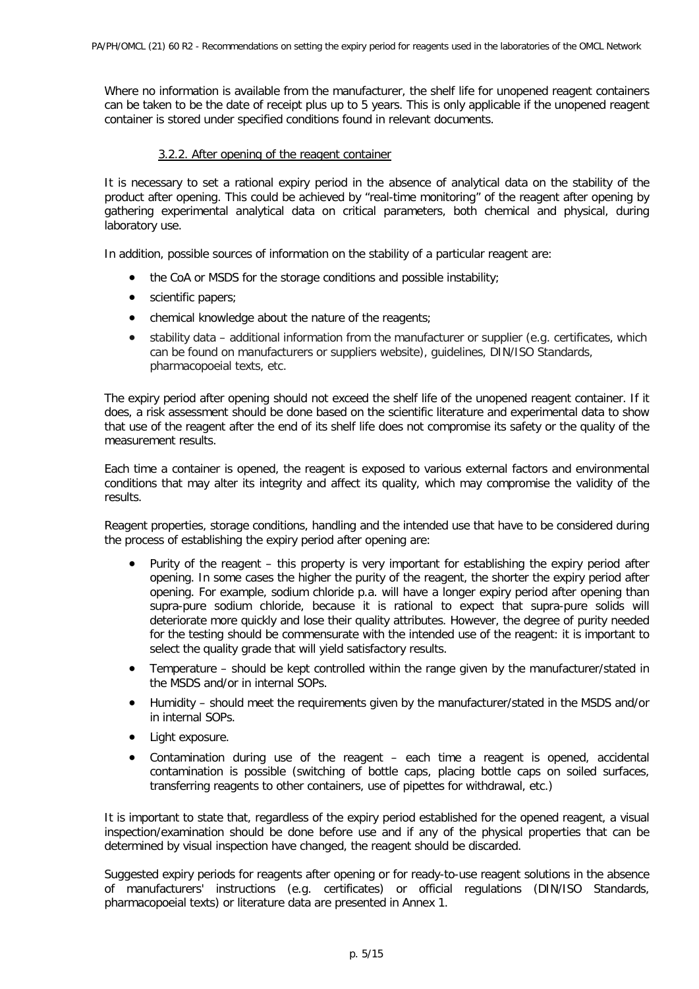Where no information is available from the manufacturer, the shelf life for unopened reagent containers can be taken to be the date of receipt plus up to 5 years. This is only applicable if the unopened reagent container is stored under specified conditions found in relevant documents.

## 3.2.2. After opening of the reagent container

<span id="page-4-0"></span>It is necessary to set a rational expiry period in the absence of analytical data on the stability of the product after opening. This could be achieved by "real-time monitoring" of the reagent after opening by gathering experimental analytical data on critical parameters, both chemical and physical, during laboratory use.

In addition, possible sources of information on the stability of a particular reagent are:

- the CoA or MSDS for the storage conditions and possible instability;
- scientific papers;
- chemical knowledge about the nature of the reagents;
- stability data additional information from the manufacturer or supplier (e.g. certificates, which can be found on manufacturers or suppliers website), guidelines, DIN/ISO Standards, pharmacopoeial texts, etc.

The expiry period after opening should not exceed the shelf life of the unopened reagent container. If it does, a risk assessment should be done based on the scientific literature and experimental data to show that use of the reagent after the end of its shelf life does not compromise its safety or the quality of the measurement results.

Each time a container is opened, the reagent is exposed to various external factors and environmental conditions that may alter its integrity and affect its quality, which may compromise the validity of the results.

Reagent properties, storage conditions, handling and the intended use that have to be considered during the process of establishing the expiry period after opening are:

- Purity of the reagent this property is very important for establishing the expiry period after opening. In some cases the higher the purity of the reagent, the shorter the expiry period after opening. For example, sodium chloride p.a. will have a longer expiry period after opening than supra-pure sodium chloride, because it is rational to expect that supra-pure solids will deteriorate more quickly and lose their quality attributes. However, the degree of purity needed for the testing should be commensurate with the intended use of the reagent: it is important to select the quality grade that will yield satisfactory results.
- Temperature should be kept controlled within the range given by the manufacturer/stated in the MSDS and/or in internal SOPs.
- Humidity should meet the requirements given by the manufacturer/stated in the MSDS and/or in internal SOPs.
- Light exposure.
- Contamination during use of the reagent each time a reagent is opened, accidental contamination is possible (switching of bottle caps, placing bottle caps on soiled surfaces, transferring reagents to other containers, use of pipettes for withdrawal, etc.)

It is important to state that, regardless of the expiry period established for the opened reagent, a visual inspection/examination should be done before use and if any of the physical properties that can be determined by visual inspection have changed, the reagent should be discarded.

Suggested expiry periods for reagents after opening or for ready-to-use reagent solutions in the absence of manufacturers' instructions (e.g. certificates) or official regulations (DIN/ISO Standards, pharmacopoeial texts) or literature data are presented in Annex 1.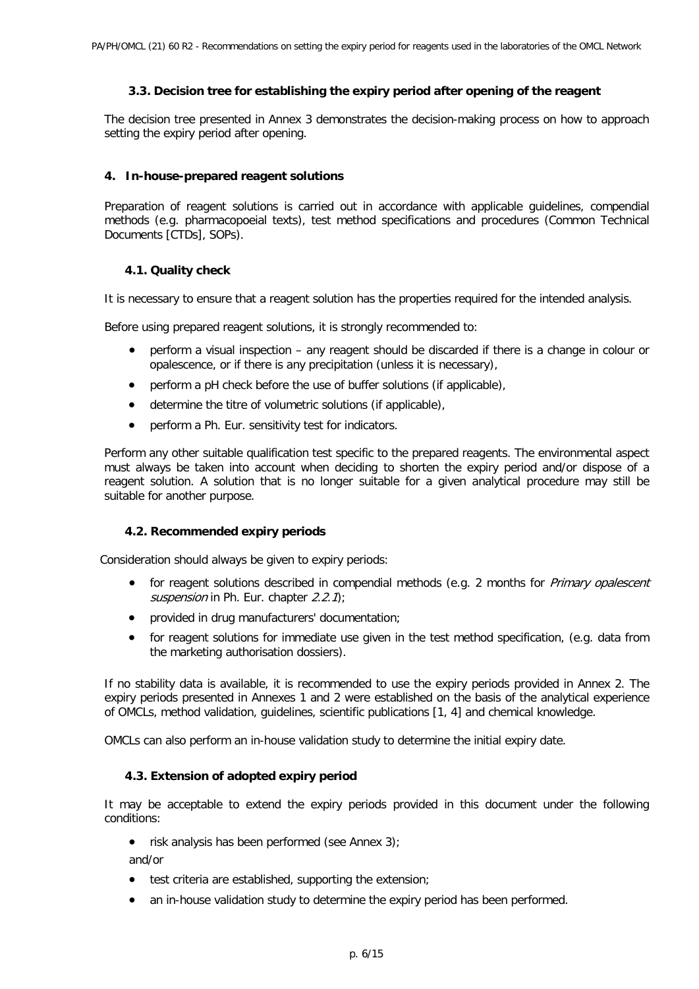## <span id="page-5-0"></span>**3.3. Decision tree for establishing the expiry period after opening of the reagent**

The decision tree presented in Annex 3 demonstrates the decision-making process on how to approach setting the expiry period after opening.

## <span id="page-5-1"></span>**4. In-house-prepared reagent solutions**

Preparation of reagent solutions is carried out in accordance with applicable guidelines, compendial methods (e.g. pharmacopoeial texts), test method specifications and procedures (Common Technical Documents [CTDs], SOPs).

## **4.1. Quality check**

<span id="page-5-2"></span>It is necessary to ensure that a reagent solution has the properties required for the intended analysis.

Before using prepared reagent solutions, it is strongly recommended to:

- perform a visual inspection any reagent should be discarded if there is a change in colour or opalescence, or if there is any precipitation (unless it is necessary),
- perform a pH check before the use of buffer solutions (if applicable),
- determine the titre of volumetric solutions (if applicable),
- perform a Ph. Eur. sensitivity test for indicators.

Perform any other suitable qualification test specific to the prepared reagents. The environmental aspect must always be taken into account when deciding to shorten the expiry period and/or dispose of a reagent solution. A solution that is no longer suitable for a given analytical procedure may still be suitable for another purpose.

#### **4.2. Recommended expiry periods**

<span id="page-5-3"></span>Consideration should always be given to expiry periods:

- for reagent solutions described in compendial methods (e.g. 2 months for *Primary opalescent* suspension in Ph. Eur. chapter  $2.2.1$ ;
- provided in drug manufacturers' documentation;
- for reagent solutions for immediate use given in the test method specification, (e.g. data from the marketing authorisation dossiers).

If no stability data is available, it is recommended to use the expiry periods provided in Annex 2. The expiry periods presented in Annexes 1 and 2 were established on the basis of the analytical experience of OMCLs, method validation, guidelines, scientific publications [1, 4] and chemical knowledge.

<span id="page-5-4"></span>OMCLs can also perform an in-house validation study to determine the initial expiry date.

#### **4.3. Extension of adopted expiry period**

It may be acceptable to extend the expiry periods provided in this document under the following conditions:

• risk analysis has been performed (see Annex 3);

and/or

- test criteria are established, supporting the extension;
- an in-house validation study to determine the expiry period has been performed.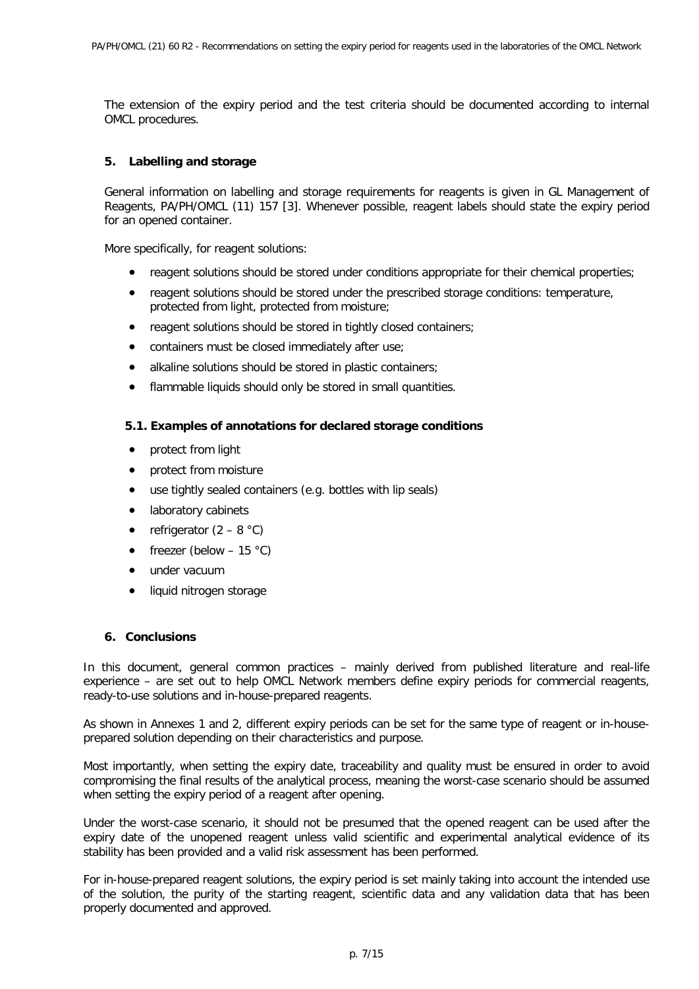The extension of the expiry period and the test criteria should be documented according to internal OMCL procedures.

## <span id="page-6-0"></span>**5. Labelling and storage**

General information on labelling and storage requirements for reagents is given in GL Management of Reagents, PA/PH/OMCL (11) 157 [3]. Whenever possible, reagent labels should state the expiry period for an opened container.

More specifically, for reagent solutions:

- reagent solutions should be stored under conditions appropriate for their chemical properties;
- reagent solutions should be stored under the prescribed storage conditions: temperature, protected from light, protected from moisture;
- reagent solutions should be stored in tightly closed containers;
- containers must be closed immediately after use;
- alkaline solutions should be stored in plastic containers;
- flammable liquids should only be stored in small quantities.

## <span id="page-6-1"></span>**5.1. Examples of annotations for declared storage conditions**

- protect from light
- protect from moisture
- use tightly sealed containers (e.g. bottles with lip seals)
- laboratory cabinets
- refrigerator  $(2 8 \degree C)$
- freezer (below  $-15$  °C)
- under vacuum
- liquid nitrogen storage

## <span id="page-6-2"></span>**6. Conclusions**

In this document, general common practices – mainly derived from published literature and real-life experience – are set out to help OMCL Network members define expiry periods for commercial reagents, ready-to-use solutions and in-house-prepared reagents.

As shown in Annexes 1 and 2, different expiry periods can be set for the same type of reagent or in-houseprepared solution depending on their characteristics and purpose.

Most importantly, when setting the expiry date, traceability and quality must be ensured in order to avoid compromising the final results of the analytical process, meaning the worst-case scenario should be assumed when setting the expiry period of a reagent after opening.

Under the worst-case scenario, it should not be presumed that the opened reagent can be used after the expiry date of the unopened reagent unless valid scientific and experimental analytical evidence of its stability has been provided and a valid risk assessment has been performed.

For in-house-prepared reagent solutions, the expiry period is set mainly taking into account the intended use of the solution, the purity of the starting reagent, scientific data and any validation data that has been properly documented and approved.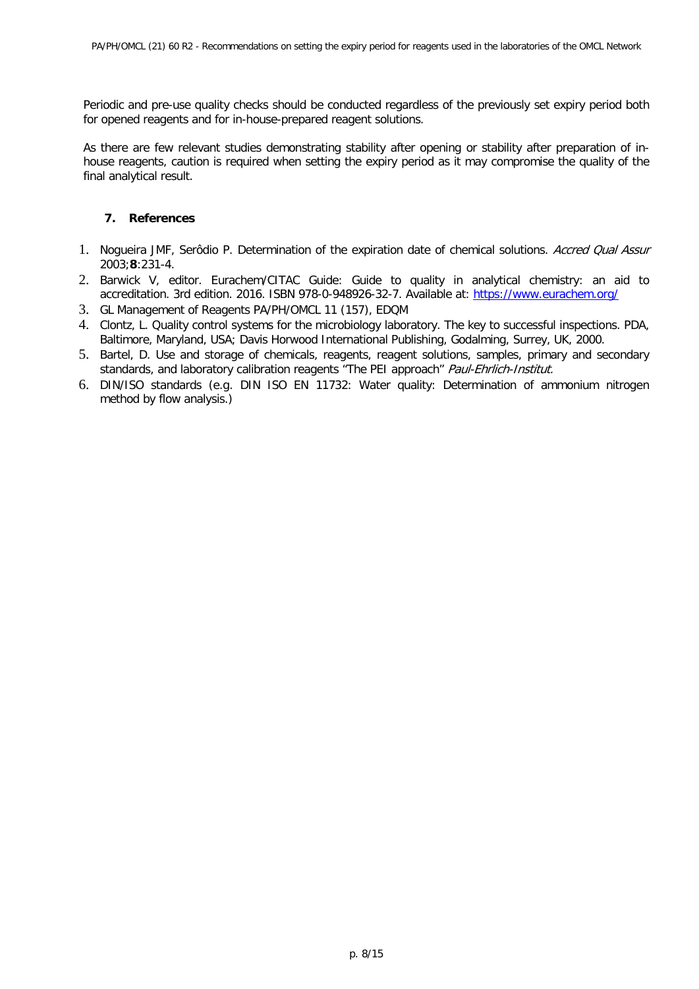Periodic and pre-use quality checks should be conducted regardless of the previously set expiry period both for opened reagents and for in-house-prepared reagent solutions.

As there are few relevant studies demonstrating stability after opening or stability after preparation of inhouse reagents, caution is required when setting the expiry period as it may compromise the quality of the final analytical result.

## <span id="page-7-0"></span>**7. References**

- 1. Nogueira JMF, Serôdio P. Determination of the expiration date of chemical solutions. Accred Qual Assur 2003;**8**:231-4.
- 2. Barwick V, editor. Eurachem/CITAC Guide: Guide to quality in analytical chemistry: an aid to accreditation. 3rd edition. 2016. ISBN 978-0-948926-32-7. Available at: [https://www.eurachem.org/](https://www.eurachem.org/images/stories/Guides/pdf/Eurachem_CITAC_QAC_2016_EN.pdf)
- 3. GL Management of Reagents PA/PH/OMCL 11 (157), EDQM
- 4. Clontz, L. Quality control systems for the microbiology laboratory. The key to successful inspections. PDA, Baltimore, Maryland, USA; Davis Horwood International Publishing, Godalming, Surrey, UK, 2000.
- 5. Bartel, D. Use and storage of chemicals, reagents, reagent solutions, samples, primary and secondary standards, and laboratory calibration reagents "The PEI approach" Paul-Ehrlich-Institut.
- 6. DIN/ISO standards (e.g. DIN ISO EN 11732: Water quality: Determination of ammonium nitrogen method by flow analysis.)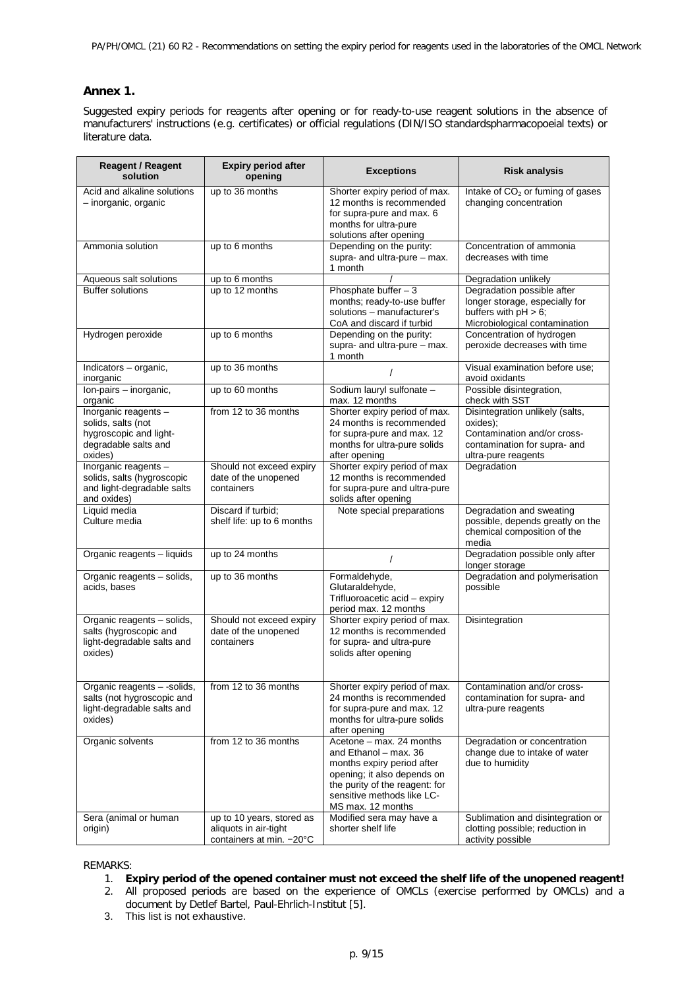# <span id="page-8-0"></span>**Annex 1.**

Suggested expiry periods for reagents after opening or for ready-to-use reagent solutions in the absence of manufacturers' instructions (e.g. certificates) or official regulations (DIN/ISO standardspharmacopoeial texts) or literature data.

| <b>Reagent / Reagent</b><br>solution                                                                    | <b>Expiry period after</b><br>opening                                          | <b>Exceptions</b>                                                                                                                                                                                   | <b>Risk analysis</b>                                                                                                              |
|---------------------------------------------------------------------------------------------------------|--------------------------------------------------------------------------------|-----------------------------------------------------------------------------------------------------------------------------------------------------------------------------------------------------|-----------------------------------------------------------------------------------------------------------------------------------|
| Acid and alkaline solutions<br>- inorganic, organic                                                     | up to 36 months                                                                | Shorter expiry period of max.<br>12 months is recommended<br>for supra-pure and max. 6<br>months for ultra-pure<br>solutions after opening                                                          | Intake of CO <sub>2</sub> or fuming of gases<br>changing concentration                                                            |
| Ammonia solution                                                                                        | up to 6 months                                                                 | Depending on the purity:<br>supra- and ultra-pure - max.<br>1 month                                                                                                                                 | Concentration of ammonia<br>decreases with time                                                                                   |
| Aqueous salt solutions                                                                                  | up to 6 months                                                                 |                                                                                                                                                                                                     | Degradation unlikely                                                                                                              |
| <b>Buffer solutions</b>                                                                                 | up to 12 months                                                                | Phosphate buffer $-3$<br>months; ready-to-use buffer<br>solutions - manufacturer's<br>CoA and discard if turbid                                                                                     | Degradation possible after<br>longer storage, especially for<br>buffers with $pH > 6$ ;<br>Microbiological contamination          |
| Hydrogen peroxide                                                                                       | up to 6 months                                                                 | Depending on the purity:<br>supra- and ultra-pure - max.<br>1 month                                                                                                                                 | Concentration of hydrogen<br>peroxide decreases with time                                                                         |
| Indicators - organic,<br>inorganic                                                                      | up to 36 months                                                                | $\prime$                                                                                                                                                                                            | Visual examination before use;<br>avoid oxidants                                                                                  |
| Ion-pairs - inorganic,<br>organic                                                                       | up to 60 months                                                                | Sodium lauryl sulfonate -<br>max. 12 months                                                                                                                                                         | Possible disintegration,<br>check with SST                                                                                        |
| Inorganic reagents -<br>solids, salts (not<br>hygroscopic and light-<br>degradable salts and<br>oxides) | from 12 to 36 months                                                           | Shorter expiry period of max.<br>24 months is recommended<br>for supra-pure and max. 12<br>months for ultra-pure solids<br>after opening                                                            | Disintegration unlikely (salts,<br>oxides):<br>Contamination and/or cross-<br>contamination for supra- and<br>ultra-pure reagents |
| Inorganic reagents -<br>solids, salts (hygroscopic<br>and light-degradable salts<br>and oxides)         | Should not exceed expiry<br>date of the unopened<br>containers                 | Shorter expiry period of max<br>12 months is recommended<br>for supra-pure and ultra-pure<br>solids after opening                                                                                   | Degradation                                                                                                                       |
| Liquid media<br>Culture media                                                                           | Discard if turbid;<br>shelf life: up to 6 months                               | Note special preparations                                                                                                                                                                           | Degradation and sweating<br>possible, depends greatly on the<br>chemical composition of the<br>media                              |
| Organic reagents - liquids                                                                              | up to 24 months                                                                | $\prime$                                                                                                                                                                                            | Degradation possible only after<br>longer storage                                                                                 |
| Organic reagents - solids,<br>acids, bases                                                              | up to 36 months                                                                | Formaldehyde,<br>Glutaraldehyde,<br>Trifluoroacetic acid - expiry<br>period max. 12 months                                                                                                          | Degradation and polymerisation<br>possible                                                                                        |
| Organic reagents - solids,<br>salts (hygroscopic and<br>light-degradable salts and<br>oxides)           | Should not exceed expiry<br>date of the unopened<br>containers                 | Shorter expiry period of max.<br>12 months is recommended<br>for supra- and ultra-pure<br>solids after opening                                                                                      | <b>Disintegration</b>                                                                                                             |
| Organic reagents - -solids,<br>salts (not hygroscopic and<br>light-degradable salts and<br>oxides)      | from 12 to 36 months                                                           | Shorter expiry period of max.<br>24 months is recommended<br>for supra-pure and max. 12<br>months for ultra-pure solids<br>after opening                                                            | Contamination and/or cross-<br>contamination for supra- and<br>ultra-pure reagents                                                |
| Organic solvents                                                                                        | from 12 to 36 months                                                           | Acetone - max. 24 months<br>and Ethanol - max. 36<br>months expiry period after<br>opening; it also depends on<br>the purity of the reagent: for<br>sensitive methods like LC-<br>MS max. 12 months | Degradation or concentration<br>change due to intake of water<br>due to humidity                                                  |
| Sera (animal or human<br>origin)                                                                        | up to 10 years, stored as<br>aliquots in air-tight<br>containers at min. -20°C | Modified sera may have a<br>shorter shelf life                                                                                                                                                      | Sublimation and disintegration or<br>clotting possible; reduction in<br>activity possible                                         |

#### REMARKS:

- 1. **Expiry period of the opened container must not exceed the shelf life of the unopened reagent!**
- 2. All proposed periods are based on the experience of OMCLs (exercise performed by OMCLs) and a document by Detlef Bartel, Paul-Ehrlich-Institut [5].
- 3. This list is not exhaustive.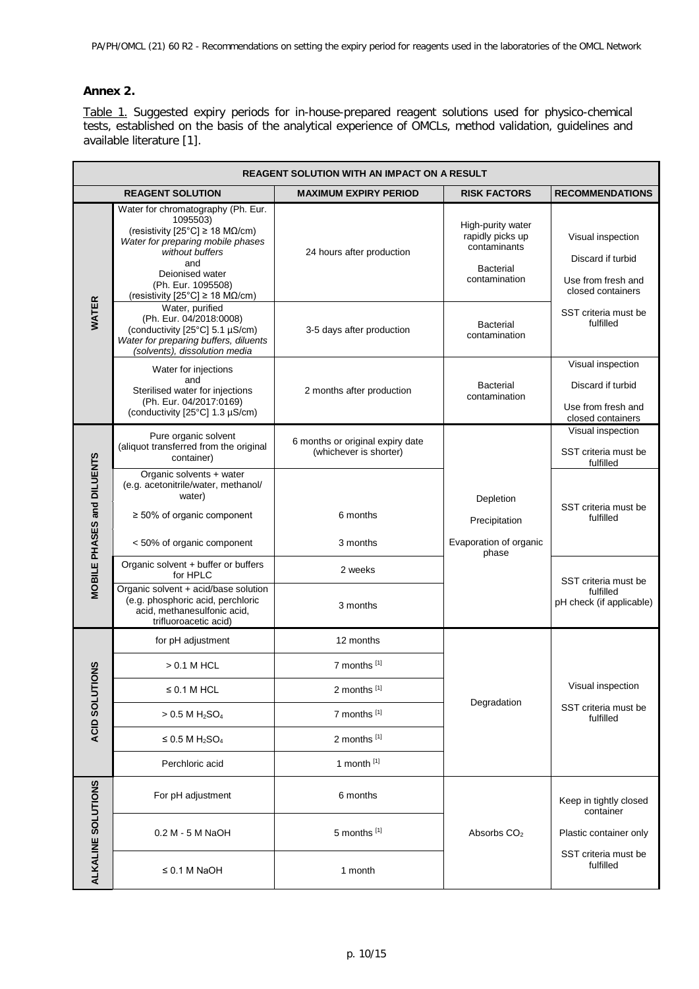# <span id="page-9-0"></span>**Annex 2.**

Table 1. Suggested expiry periods for in-house-prepared reagent solutions used for physico-chemical tests, established on the basis of the analytical experience of OMCLs, method validation, guidelines and available literature [1].

| REAGENT SOLUTION WITH AN IMPACT ON A RESULT |                                                                                                                                                                                                                                                                            |                                                            |                                                                                            |                                                                                   |  |
|---------------------------------------------|----------------------------------------------------------------------------------------------------------------------------------------------------------------------------------------------------------------------------------------------------------------------------|------------------------------------------------------------|--------------------------------------------------------------------------------------------|-----------------------------------------------------------------------------------|--|
|                                             | <b>REAGENT SOLUTION</b><br><b>MAXIMUM EXPIRY PERIOD</b>                                                                                                                                                                                                                    |                                                            | <b>RISK FACTORS</b>                                                                        | <b>RECOMMENDATIONS</b>                                                            |  |
| <b>WATER</b>                                | Water for chromatography (Ph. Eur.<br>1095503)<br>(resistivity [25°C] $\geq$ 18 M $\Omega$ /cm)<br>Water for preparing mobile phases<br>without buffers<br>and<br>Deionised water<br>(Ph. Eur. 1095508)<br>(resistivity $[25^{\circ}C] \ge 18 \text{ M}\Omega/\text{cm}$ ) | 24 hours after production                                  | High-purity water<br>rapidly picks up<br>contaminants<br><b>Bacterial</b><br>contamination | Visual inspection<br>Discard if turbid<br>Use from fresh and<br>closed containers |  |
|                                             | Water, purified<br>(Ph. Eur. 04/2018:0008)<br>(conductivity [25°C] 5.1 µS/cm)<br>Water for preparing buffers, diluents<br>(solvents), dissolution media                                                                                                                    | 3-5 days after production                                  | <b>Bacterial</b><br>contamination                                                          | SST criteria must be<br>fulfilled                                                 |  |
|                                             | Water for injections<br>and<br>Sterilised water for injections<br>(Ph. Eur. 04/2017:0169)<br>(conductivity [25°C] 1.3 µS/cm)                                                                                                                                               | 2 months after production                                  | <b>Bacterial</b><br>contamination                                                          | Visual inspection<br>Discard if turbid<br>Use from fresh and<br>closed containers |  |
|                                             | Pure organic solvent<br>(aliquot transferred from the original<br>container)                                                                                                                                                                                               | 6 months or original expiry date<br>(whichever is shorter) |                                                                                            | Visual inspection<br>SST criteria must be<br>fulfilled                            |  |
| MOBILE PHASES and DILUENTS                  | Organic solvents + water<br>(e.g. acetonitrile/water, methanol/<br>water)<br>$\geq$ 50% of organic component                                                                                                                                                               | 6 months                                                   | Depletion<br>Precipitation                                                                 | SST criteria must be<br>fulfilled                                                 |  |
|                                             | < 50% of organic component                                                                                                                                                                                                                                                 | 3 months                                                   | Evaporation of organic<br>phase                                                            |                                                                                   |  |
|                                             | Organic solvent + buffer or buffers<br>for HPLC                                                                                                                                                                                                                            | 2 weeks                                                    |                                                                                            | SST criteria must be                                                              |  |
|                                             | Organic solvent + acid/base solution<br>(e.g. phosphoric acid, perchloric<br>acid, methanesulfonic acid,<br>trifluoroacetic acid)                                                                                                                                          | 3 months                                                   |                                                                                            | fulfilled<br>pH check (if applicable)                                             |  |
|                                             | for pH adjustment                                                                                                                                                                                                                                                          | 12 months                                                  |                                                                                            |                                                                                   |  |
|                                             | $> 0.1$ M HCL                                                                                                                                                                                                                                                              | 7 months [1]                                               |                                                                                            |                                                                                   |  |
|                                             | $\leq$ 0.1 M HCL                                                                                                                                                                                                                                                           | 2 months [1]                                               |                                                                                            | Visual inspection                                                                 |  |
| ACID SOLUTIONS                              | $> 0.5 M H_2SO_4$                                                                                                                                                                                                                                                          | 7 months [1]                                               | Degradation                                                                                | SST criteria must be<br>fulfilled                                                 |  |
|                                             | $\leq$ 0.5 M H <sub>2</sub> SO <sub>4</sub>                                                                                                                                                                                                                                | 2 months [1]                                               |                                                                                            |                                                                                   |  |
|                                             | Perchloric acid                                                                                                                                                                                                                                                            | 1 month $[1]$                                              |                                                                                            |                                                                                   |  |
| ALKALINE SOLUTIONS                          | For pH adjustment                                                                                                                                                                                                                                                          | 6 months                                                   |                                                                                            | Keep in tightly closed<br>container                                               |  |
|                                             | 0.2 M - 5 M NaOH                                                                                                                                                                                                                                                           | 5 months [1]                                               | Absorbs CO <sub>2</sub>                                                                    | Plastic container only                                                            |  |
|                                             | $\leq$ 0.1 M NaOH                                                                                                                                                                                                                                                          | 1 month                                                    |                                                                                            | SST criteria must be<br>fulfilled                                                 |  |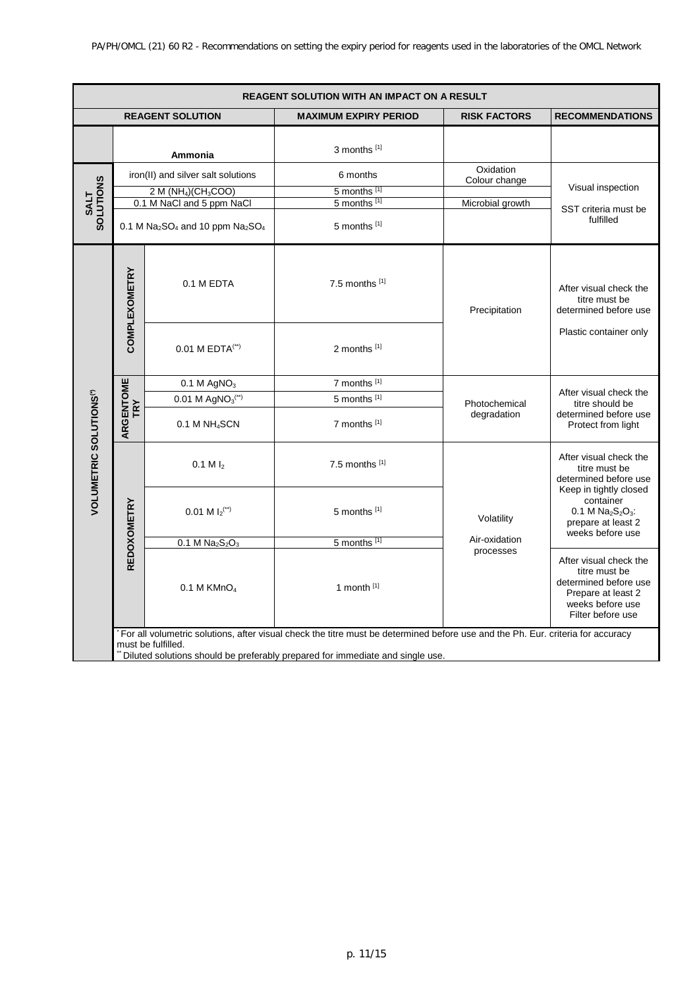| REAGENT SOLUTION WITH AN IMPACT ON A RESULT |                                    |                                          |                                                                                                                                                                                                                  |                                            |                                                                                                                                 |
|---------------------------------------------|------------------------------------|------------------------------------------|------------------------------------------------------------------------------------------------------------------------------------------------------------------------------------------------------------------|--------------------------------------------|---------------------------------------------------------------------------------------------------------------------------------|
| <b>REAGENT SOLUTION</b>                     |                                    |                                          | <b>MAXIMUM EXPIRY PERIOD</b>                                                                                                                                                                                     | <b>RISK FACTORS</b>                        | <b>RECOMMENDATIONS</b>                                                                                                          |
|                                             |                                    | Ammonia                                  | 3 months [1]                                                                                                                                                                                                     |                                            |                                                                                                                                 |
| SOLUTIONS<br>SOLUTIONS                      | iron(II) and silver salt solutions |                                          | 6 months                                                                                                                                                                                                         | Oxidation<br>Colour change                 |                                                                                                                                 |
|                                             |                                    | $2 M (NH4)(CH3COO)$                      | 5 months [1]                                                                                                                                                                                                     |                                            | Visual inspection                                                                                                               |
|                                             |                                    | 0.1 M NaCl and 5 ppm NaCl                | 5 months [1]                                                                                                                                                                                                     | Microbial growth                           | SST criteria must be                                                                                                            |
|                                             | 0.1 M $Na2SO4$ and 10 ppm $Na2SO4$ |                                          | 5 months [1]                                                                                                                                                                                                     |                                            | fulfilled                                                                                                                       |
|                                             | <b>COMPLEXOMETRY</b>               | 0.1 M EDTA                               | 7.5 months [1]                                                                                                                                                                                                   | Precipitation                              | After visual check the<br>titre must be<br>determined before use                                                                |
|                                             |                                    | 0.01 M EDTA(**)                          | 2 months [1]                                                                                                                                                                                                     |                                            | Plastic container only                                                                                                          |
|                                             | ARGENTOME<br>TRY                   | $0.1 M$ AgNO <sub>3</sub>                | 7 months [1]                                                                                                                                                                                                     | Photochemical<br>degradation<br>Volatility | After visual check the<br>titre should be<br>determined before use<br>Protect from light                                        |
|                                             |                                    | 0.01 M AgNO <sub>3</sub> <sup>(**)</sup> | 5 months [1]                                                                                                                                                                                                     |                                            |                                                                                                                                 |
| <b>VOLUMETRIC SOLUTIONS<sup>(*)</sup></b>   |                                    | 0.1 M NH <sub>4</sub> SCN                | 7 months [1]                                                                                                                                                                                                     |                                            |                                                                                                                                 |
|                                             | REDOXOMETRY                        | $0.1 M l_2$                              | 7.5 months [1]                                                                                                                                                                                                   |                                            | After visual check the<br>titre must be<br>determined before use                                                                |
|                                             |                                    | 0.01 M $I_2$ <sup>(**)</sup>             | 5 months [1]                                                                                                                                                                                                     |                                            | Keep in tightly closed<br>container<br>$0.1 M Na2S2O3$ :<br>prepare at least 2<br>weeks before use                              |
|                                             |                                    | $0.1 M Na2S2O3$                          | 5 months [1]                                                                                                                                                                                                     | Air-oxidation<br>processes                 |                                                                                                                                 |
|                                             |                                    | $0.1$ M KMnO <sub>4</sub>                | 1 month $[1]$                                                                                                                                                                                                    |                                            | After visual check the<br>titre must be<br>determined before use<br>Prepare at least 2<br>weeks before use<br>Filter before use |
|                                             |                                    | must be fulfilled.                       | For all volumetric solutions, after visual check the titre must be determined before use and the Ph. Eur. criteria for accuracy<br>Diluted solutions should be preferably prepared for immediate and single use. |                                            |                                                                                                                                 |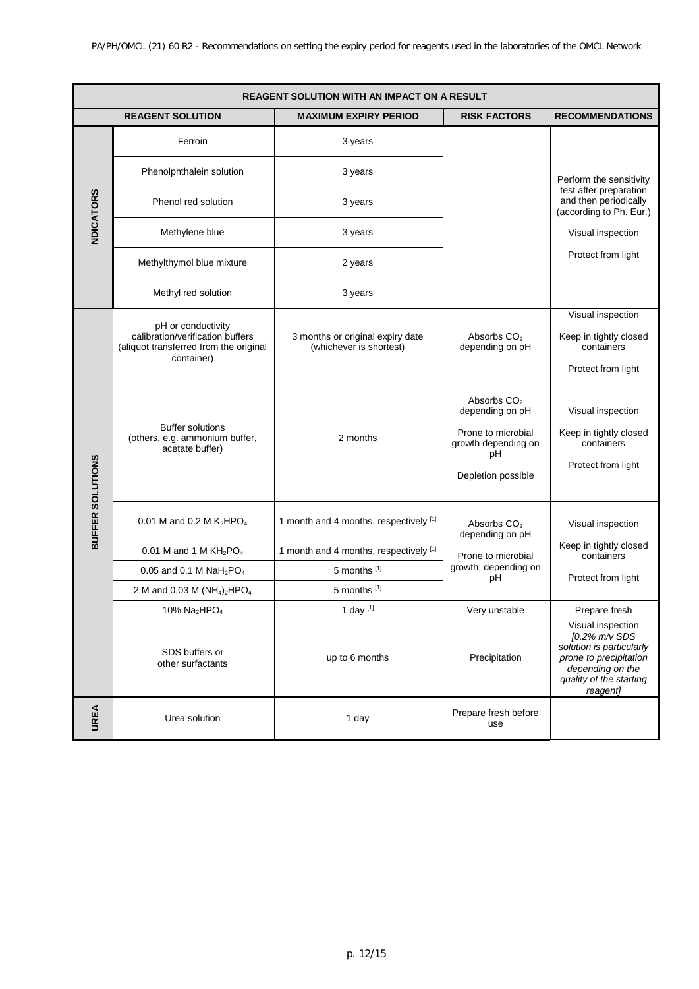| <b>REAGENT SOLUTION WITH AN IMPACT ON A RESULT</b> |                                                                                          |                                                             |                                                                                                                     |                                                                                                                                                     |
|----------------------------------------------------|------------------------------------------------------------------------------------------|-------------------------------------------------------------|---------------------------------------------------------------------------------------------------------------------|-----------------------------------------------------------------------------------------------------------------------------------------------------|
| <b>REAGENT SOLUTION</b>                            |                                                                                          | <b>MAXIMUM EXPIRY PERIOD</b>                                | <b>RISK FACTORS</b>                                                                                                 | <b>RECOMMENDATIONS</b>                                                                                                                              |
| <b>NDICATORS</b>                                   | Ferroin                                                                                  | 3 years                                                     |                                                                                                                     |                                                                                                                                                     |
|                                                    | Phenolphthalein solution                                                                 | 3 years                                                     |                                                                                                                     | Perform the sensitivity                                                                                                                             |
|                                                    | Phenol red solution                                                                      | 3 years                                                     |                                                                                                                     | test after preparation<br>and then periodically<br>(according to Ph. Eur.)                                                                          |
|                                                    | Methylene blue                                                                           | 3 years                                                     |                                                                                                                     | Visual inspection                                                                                                                                   |
|                                                    | Methylthymol blue mixture                                                                | 2 years                                                     |                                                                                                                     | Protect from light                                                                                                                                  |
|                                                    | Methyl red solution                                                                      | 3 years                                                     |                                                                                                                     |                                                                                                                                                     |
|                                                    | pH or conductivity                                                                       |                                                             |                                                                                                                     | Visual inspection                                                                                                                                   |
|                                                    | calibration/verification buffers<br>(aliquot transferred from the original<br>container) | 3 months or original expiry date<br>(whichever is shortest) | Absorbs CO <sub>2</sub><br>depending on pH                                                                          | Keep in tightly closed<br>containers                                                                                                                |
|                                                    |                                                                                          |                                                             |                                                                                                                     | Protect from light                                                                                                                                  |
|                                                    | <b>Buffer solutions</b><br>(others, e.g. ammonium buffer,<br>acetate buffer)             | 2 months                                                    | Absorbs CO <sub>2</sub><br>depending on pH<br>Prone to microbial<br>growth depending on<br>рH<br>Depletion possible | Visual inspection<br>Keep in tightly closed<br>containers<br>Protect from light                                                                     |
| BUFFER SOLUTIONS                                   | 0.01 M and 0.2 M $K_2HPO_4$                                                              | 1 month and 4 months, respectively [1]                      | Absorbs CO <sub>2</sub><br>depending on pH                                                                          | Visual inspection                                                                                                                                   |
|                                                    | 0.01 M and 1 M $KH_2PO_4$                                                                | 1 month and 4 months, respectively [1]                      | Prone to microbial                                                                                                  | Keep in tightly closed<br>containers                                                                                                                |
|                                                    | 0.05 and 0.1 M $NaH_2PO_4$                                                               | 5 months [1]                                                | growth, depending on                                                                                                |                                                                                                                                                     |
|                                                    | 2 M and 0.03 M (NH <sub>4</sub> ) <sub>2</sub> HPO <sub>4</sub>                          | 5 months [1]                                                | рH                                                                                                                  | Protect from light                                                                                                                                  |
|                                                    | 10% Na <sub>2</sub> HPO <sub>4</sub>                                                     | 1 day <sup>[1]</sup>                                        | Very unstable                                                                                                       | Prepare fresh                                                                                                                                       |
|                                                    | SDS buffers or<br>other surfactants                                                      | up to 6 months                                              | Precipitation                                                                                                       | Visual inspection<br>[0.2% m/v SDS<br>solution is particularly<br>prone to precipitation<br>depending on the<br>quality of the starting<br>reagent] |
| <b>UREA</b>                                        | Urea solution                                                                            | 1 day                                                       | Prepare fresh before<br>use                                                                                         |                                                                                                                                                     |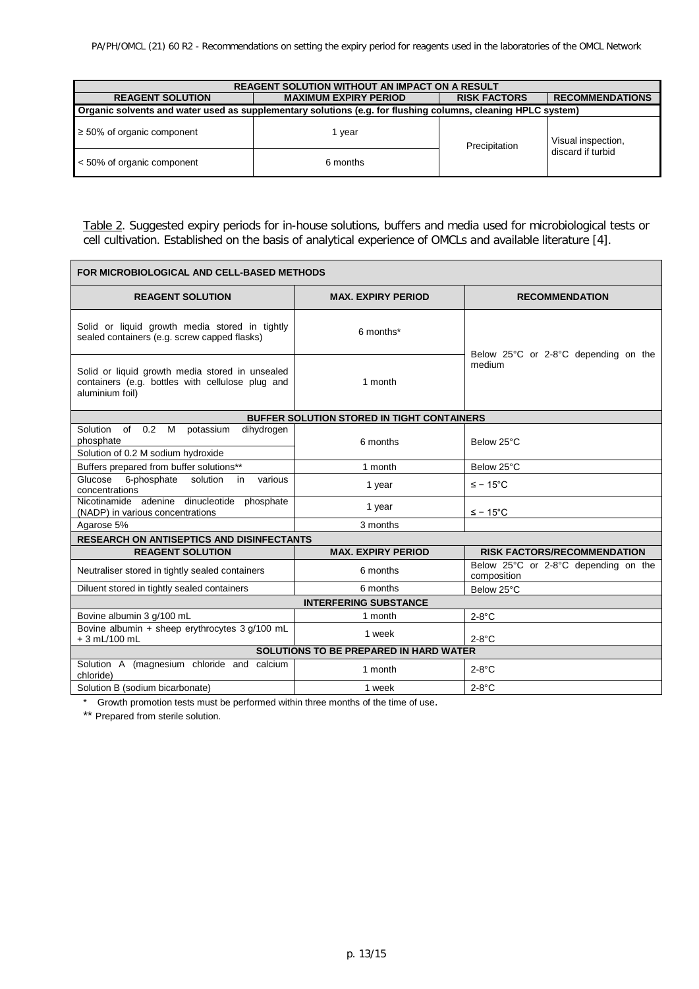| <b>REAGENT SOLUTION WITHOUT AN IMPACT ON A RESULT</b>                                                        |          |                     |                        |  |
|--------------------------------------------------------------------------------------------------------------|----------|---------------------|------------------------|--|
| <b>MAXIMUM EXPIRY PERIOD</b><br><b>REAGENT SOLUTION</b>                                                      |          | <b>RISK FACTORS</b> | <b>RECOMMENDATIONS</b> |  |
| Organic solvents and water used as supplementary solutions (e.g. for flushing columns, cleaning HPLC system) |          |                     |                        |  |
| $\geq 50\%$ of organic component                                                                             | 1 vear   | Precipitation       | Visual inspection,     |  |
| < 50% of organic component                                                                                   | 6 months |                     | discard if turbid      |  |

Table 2. Suggested expiry periods for in-house solutions, buffers and media used for microbiological tests or cell cultivation. Established on the basis of analytical experience of OMCLs and available literature [4].

| FOR MICROBIOLOGICAL AND CELL-BASED METHODS                                                                             |                           |                                                     |  |  |  |
|------------------------------------------------------------------------------------------------------------------------|---------------------------|-----------------------------------------------------|--|--|--|
| <b>REAGENT SOLUTION</b>                                                                                                | <b>MAX. EXPIRY PERIOD</b> | <b>RECOMMENDATION</b>                               |  |  |  |
| Solid or liquid growth media stored in tightly<br>sealed containers (e.g. screw capped flasks)                         | 6 months*                 | Below 25°C or 2-8°C depending on the                |  |  |  |
| Solid or liquid growth media stored in unsealed<br>containers (e.g. bottles with cellulose plug and<br>aluminium foil) | 1 month                   | medium                                              |  |  |  |
| <b>BUFFER SOLUTION STORED IN TIGHT CONTAINERS</b>                                                                      |                           |                                                     |  |  |  |
| Solution of 0.2 M<br>potassium<br>dihydrogen<br>phosphate<br>Solution of 0.2 M sodium hydroxide                        | 6 months                  | Below 25°C                                          |  |  |  |
| Buffers prepared from buffer solutions**                                                                               | 1 month                   | Below 25°C                                          |  |  |  |
| Glucose 6-phosphate solution<br>various<br>in.<br>concentrations                                                       | 1 year                    | $\leq$ – 15°C                                       |  |  |  |
| Nicotinamide adenine dinucleotide<br>phosphate<br>(NADP) in various concentrations                                     | 1 year                    | $\leq$ – 15°C                                       |  |  |  |
| Agarose 5%                                                                                                             | 3 months                  |                                                     |  |  |  |
| <b>RESEARCH ON ANTISEPTICS AND DISINFECTANTS</b>                                                                       |                           |                                                     |  |  |  |
| <b>REAGENT SOLUTION</b>                                                                                                | <b>MAX. EXPIRY PERIOD</b> | <b>RISK FACTORS/RECOMMENDATION</b>                  |  |  |  |
| Neutraliser stored in tightly sealed containers                                                                        | 6 months                  | Below 25°C or 2-8°C depending on the<br>composition |  |  |  |
| Diluent stored in tightly sealed containers                                                                            | 6 months                  | Below 25°C                                          |  |  |  |
| <b>INTERFERING SUBSTANCE</b>                                                                                           |                           |                                                     |  |  |  |
| Bovine albumin 3 g/100 mL                                                                                              | 1 month                   | $2-8$ °C                                            |  |  |  |
| Bovine albumin + sheep erythrocytes 3 g/100 mL<br>$+3$ mL/100 mL                                                       | 1 week                    | $2-8$ °C                                            |  |  |  |
| <b>SOLUTIONS TO BE PREPARED IN HARD WATER</b>                                                                          |                           |                                                     |  |  |  |
| Solution A (magnesium chloride and calcium<br>chloride)                                                                | 1 month                   | $2-8$ °C                                            |  |  |  |
| Solution B (sodium bicarbonate)                                                                                        | 1 week                    | $2-8$ °C                                            |  |  |  |

\* Growth promotion tests must be performed within three months of the time of use.

\*\* Prepared from sterile solution.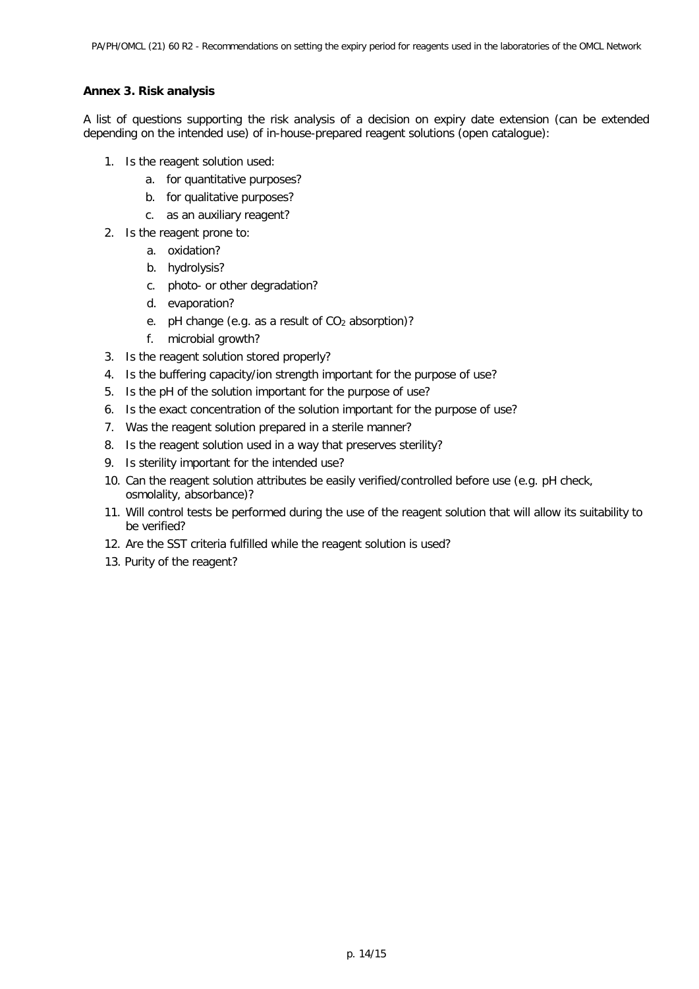# <span id="page-13-0"></span>**Annex 3. Risk analysis**

A list of questions supporting the risk analysis of a decision on expiry date extension (can be extended depending on the intended use) of in-house-prepared reagent solutions (open catalogue):

- 1. Is the reagent solution used:
	- a. for quantitative purposes?
	- b. for qualitative purposes?
	- c. as an auxiliary reagent?
- 2. Is the reagent prone to:
	- a. oxidation?
	- b. hydrolysis?
	- c. photo- or other degradation?
	- d. evaporation?
	- e. pH change (e.g. as a result of CO<sub>2</sub> absorption)?
	- f. microbial growth?
- 3. Is the reagent solution stored properly?
- 4. Is the buffering capacity/ion strength important for the purpose of use?
- 5. Is the pH of the solution important for the purpose of use?
- 6. Is the exact concentration of the solution important for the purpose of use?
- 7. Was the reagent solution prepared in a sterile manner?
- 8. Is the reagent solution used in a way that preserves sterility?
- 9. Is sterility important for the intended use?
- 10. Can the reagent solution attributes be easily verified/controlled before use (e.g. pH check, osmolality, absorbance)?
- 11. Will control tests be performed during the use of the reagent solution that will allow its suitability to be verified?
- 12. Are the SST criteria fulfilled while the reagent solution is used?
- 13. Purity of the reagent?